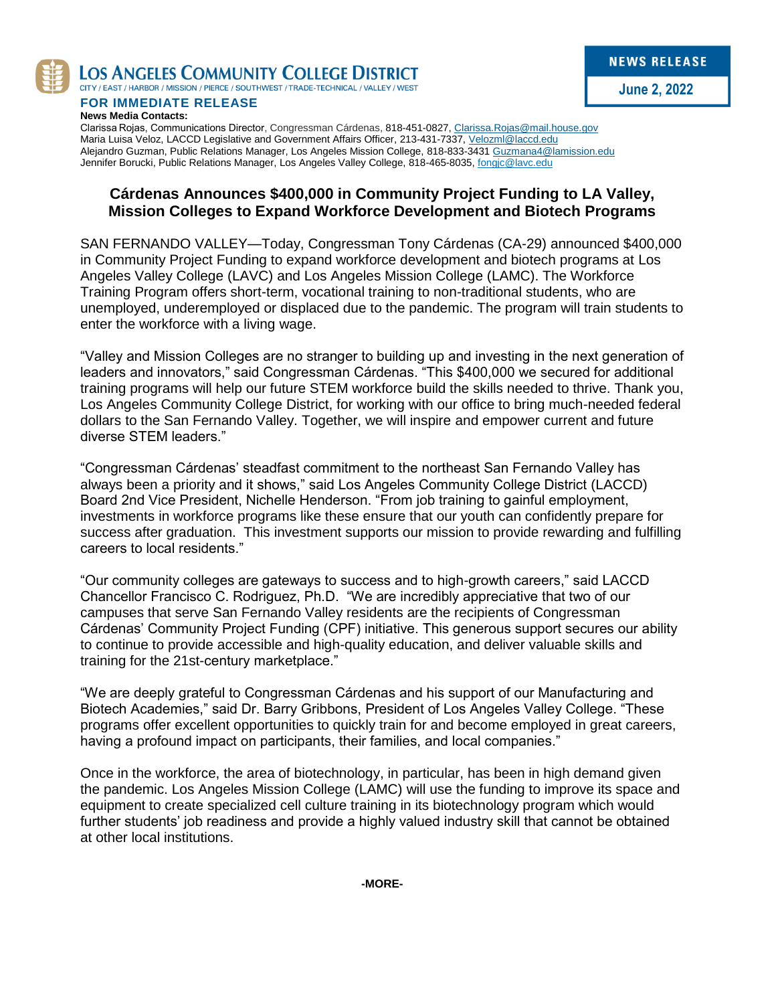

LOS ANGELES COMMUNITY COLLEGE DISTRICT

CITY / EAST / HARBOR / MISSION / PIERCE / SOUTHWEST / TRADE-TECHNICAL / VALLEY / WEST

**FOR IMMEDIATE RELEASE News Media Contacts:**

Clarissa Rojas, Communications Director, Congressman Cárdenas, 818-451-0827, [Clarissa.Rojas@mail.house.gov](mailto:Clarissa.Rojas@mail.house.gov) Maria Luisa Veloz, LACCD Legislative and Government Affairs Officer, 213-431-7337[, Velozml@laccd.edu](mailto:Velozml@laccd.edu) Alejandro Guzman, Public Relations Manager, Los Angeles Mission College, 818-833-3431 [Guzmana4@lamission.edu](mailto:Guzmana4@lamission.edu) Jennifer Borucki, Public Relations Manager, Los Angeles Valley College, 818-465-8035, [fongjc@lavc.edu](mailto:fongjc@lavc.edu)

## **Cárdenas Announces \$400,000 in Community Project Funding to LA Valley, Mission Colleges to Expand Workforce Development and Biotech Programs**

SAN FERNANDO VALLEY—Today, Congressman Tony Cárdenas (CA-29) announced \$400,000 in Community Project Funding to expand workforce development and biotech programs at Los Angeles Valley College (LAVC) and Los Angeles Mission College (LAMC). The Workforce Training Program offers short-term, vocational training to non-traditional students, who are unemployed, underemployed or displaced due to the pandemic. The program will train students to enter the workforce with a living wage.

"Valley and Mission Colleges are no stranger to building up and investing in the next generation of leaders and innovators," said Congressman Cárdenas. "This \$400,000 we secured for additional training programs will help our future STEM workforce build the skills needed to thrive. Thank you, Los Angeles Community College District, for working with our office to bring much-needed federal dollars to the San Fernando Valley. Together, we will inspire and empower current and future diverse STEM leaders."

"Congressman Cárdenas' steadfast commitment to the northeast San Fernando Valley has always been a priority and it shows," said Los Angeles Community College District (LACCD) Board 2nd Vice President, Nichelle Henderson. "From job training to gainful employment, investments in workforce programs like these ensure that our youth can confidently prepare for success after graduation. This investment supports our mission to provide rewarding and fulfilling careers to local residents."

"Our community colleges are gateways to success and to high-growth careers," said LACCD Chancellor Francisco C. Rodriguez, Ph.D. "We are incredibly appreciative that two of our campuses that serve San Fernando Valley residents are the recipients of Congressman Cárdenas' Community Project Funding (CPF) initiative. This generous support secures our ability to continue to provide accessible and high-quality education, and deliver valuable skills and training for the 21st-century marketplace."

"We are deeply grateful to Congressman Cárdenas and his support of our Manufacturing and Biotech Academies," said Dr. Barry Gribbons, President of Los Angeles Valley College. "These programs offer excellent opportunities to quickly train for and become employed in great careers, having a profound impact on participants, their families, and local companies."

Once in the workforce, the area of biotechnology, in particular, has been in high demand given the pandemic. Los Angeles Mission College (LAMC) will use the funding to improve its space and equipment to create specialized cell culture training in its biotechnology program which would further students' job readiness and provide a highly valued industry skill that cannot be obtained at other local institutions.

**-MORE-**